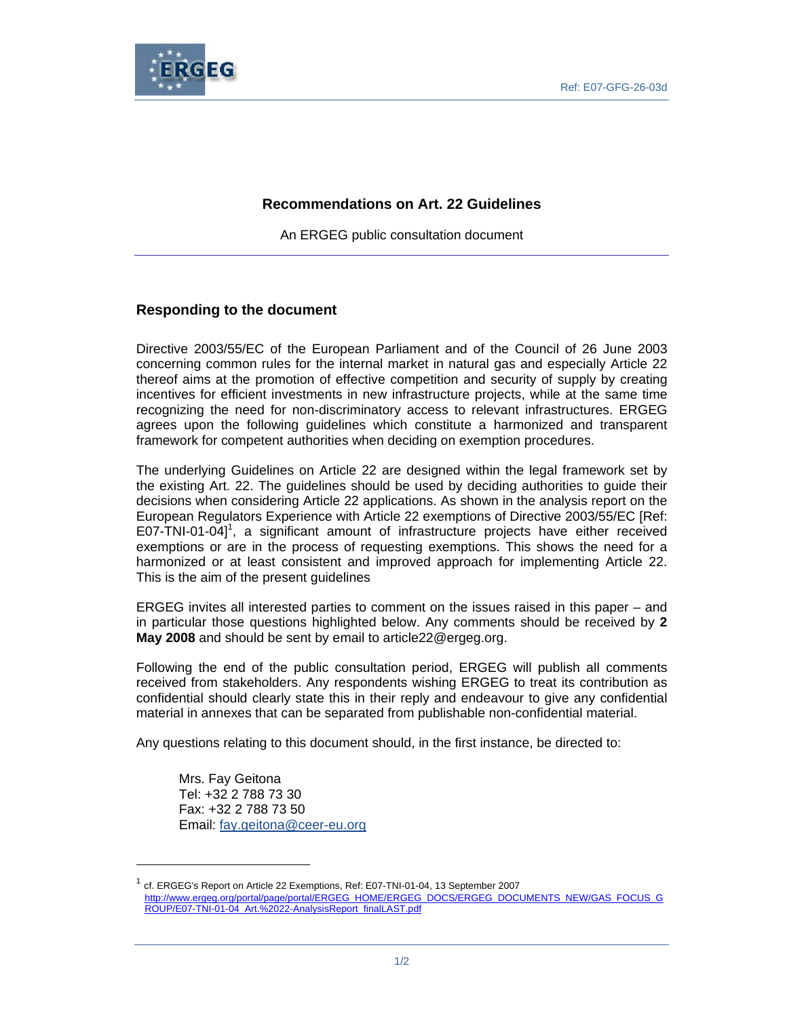

## **Recommendations on Art. 22 Guidelines**

An ERGEG public consultation document

## **Responding to the document**

Directive 2003/55/EC of the European Parliament and of the Council of 26 June 2003 concerning common rules for the internal market in natural gas and especially Article 22 thereof aims at the promotion of effective competition and security of supply by creating incentives for efficient investments in new infrastructure projects, while at the same time recognizing the need for non-discriminatory access to relevant infrastructures. ERGEG agrees upon the following guidelines which constitute a harmonized and transparent framework for competent authorities when deciding on exemption procedures.

The underlying Guidelines on Article 22 are designed within the legal framework set by the existing Art. 22. The guidelines should be used by deciding authorities to guide their decisions when considering Article 22 applications. As shown in the analysis report on the European Regulators Experience with Article 22 exemptions of Directive 2003/55/EC [Ref: E07-TNI-01-04]<sup>1</sup>, a significant amount of infrastructure projects have either received exemptions or are in the process of requesting exemptions. This shows the need for a harmonized or at least consistent and improved approach for implementing Article 22. This is the aim of the present guidelines

ERGEG invites all interested parties to comment on the issues raised in this paper – and in particular those questions highlighted below. Any comments should be received by **2 May 2008** and should be sent by email to article 22@ergeg.org.

Following the end of the public consultation period, ERGEG will publish all comments received from stakeholders. Any respondents wishing ERGEG to treat its contribution as confidential should clearly state this in their reply and endeavour to give any confidential material in annexes that can be separated from publishable non-confidential material.

Any questions relating to this document should, in the first instance, be directed to:

Mrs. Fay Geitona Tel: +32 2 788 73 30 Fax: +32 2 788 73 50 Email: fay.geitona@ceer-eu.org

 $\overline{a}$ 

 $^1$  cf. ERGEG's Report on Article 22 Exemptions, Ref: E07-TNI-01-04, 13 September 2007 http://www.ergeg.org/portal/page/portal/ERGEG\_HOME/ERGEG\_DOCS/ERGEG\_DOCUMENTS\_NEW/GAS\_FOCUS\_G ROUP/E07-TNI-01-04\_Art.%2022-AnalysisReport\_finalLAST.pdf